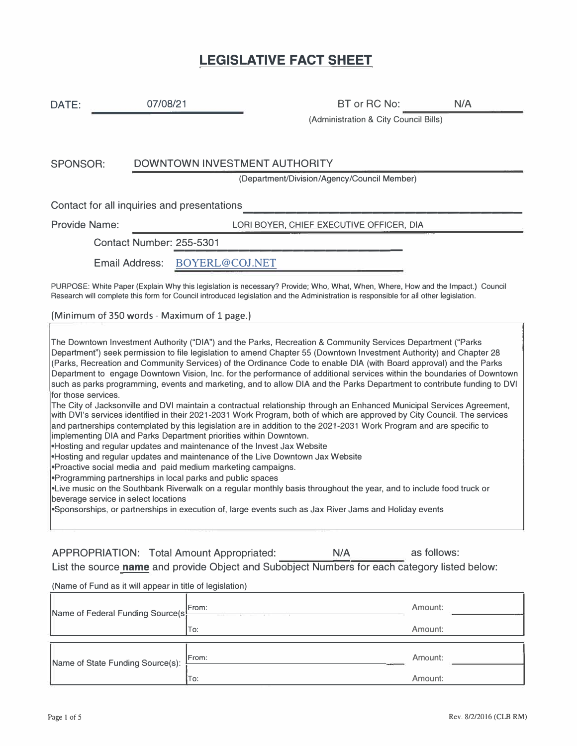## **LEGISLATIVE FACT SHEET**

| DATE:                                                                                                                                                                                                                                                                                                                                                                                                                                                                                                                                                                                                                                                                                                                                                                                                                                                                                                                                                                                                                                                                                                                                                                                                                                                                                                                                                                                                                                                                                                                                                                                                                                                 | 07/08/21                                                 | BT or RC No:                                                                                  | N/A         |  |
|-------------------------------------------------------------------------------------------------------------------------------------------------------------------------------------------------------------------------------------------------------------------------------------------------------------------------------------------------------------------------------------------------------------------------------------------------------------------------------------------------------------------------------------------------------------------------------------------------------------------------------------------------------------------------------------------------------------------------------------------------------------------------------------------------------------------------------------------------------------------------------------------------------------------------------------------------------------------------------------------------------------------------------------------------------------------------------------------------------------------------------------------------------------------------------------------------------------------------------------------------------------------------------------------------------------------------------------------------------------------------------------------------------------------------------------------------------------------------------------------------------------------------------------------------------------------------------------------------------------------------------------------------------|----------------------------------------------------------|-----------------------------------------------------------------------------------------------|-------------|--|
|                                                                                                                                                                                                                                                                                                                                                                                                                                                                                                                                                                                                                                                                                                                                                                                                                                                                                                                                                                                                                                                                                                                                                                                                                                                                                                                                                                                                                                                                                                                                                                                                                                                       |                                                          | (Administration & City Council Bills)                                                         |             |  |
|                                                                                                                                                                                                                                                                                                                                                                                                                                                                                                                                                                                                                                                                                                                                                                                                                                                                                                                                                                                                                                                                                                                                                                                                                                                                                                                                                                                                                                                                                                                                                                                                                                                       |                                                          |                                                                                               |             |  |
| <b>SPONSOR:</b>                                                                                                                                                                                                                                                                                                                                                                                                                                                                                                                                                                                                                                                                                                                                                                                                                                                                                                                                                                                                                                                                                                                                                                                                                                                                                                                                                                                                                                                                                                                                                                                                                                       | DOWNTOWN INVESTMENT AUTHORITY                            |                                                                                               |             |  |
|                                                                                                                                                                                                                                                                                                                                                                                                                                                                                                                                                                                                                                                                                                                                                                                                                                                                                                                                                                                                                                                                                                                                                                                                                                                                                                                                                                                                                                                                                                                                                                                                                                                       |                                                          | (Department/Division/Agency/Council Member)                                                   |             |  |
|                                                                                                                                                                                                                                                                                                                                                                                                                                                                                                                                                                                                                                                                                                                                                                                                                                                                                                                                                                                                                                                                                                                                                                                                                                                                                                                                                                                                                                                                                                                                                                                                                                                       | Contact for all inquiries and presentations              |                                                                                               |             |  |
| <b>Provide Name:</b>                                                                                                                                                                                                                                                                                                                                                                                                                                                                                                                                                                                                                                                                                                                                                                                                                                                                                                                                                                                                                                                                                                                                                                                                                                                                                                                                                                                                                                                                                                                                                                                                                                  |                                                          | LORI BOYER, CHIEF EXECUTIVE OFFICER, DIA                                                      |             |  |
|                                                                                                                                                                                                                                                                                                                                                                                                                                                                                                                                                                                                                                                                                                                                                                                                                                                                                                                                                                                                                                                                                                                                                                                                                                                                                                                                                                                                                                                                                                                                                                                                                                                       | Contact Number: 255-5301                                 |                                                                                               |             |  |
|                                                                                                                                                                                                                                                                                                                                                                                                                                                                                                                                                                                                                                                                                                                                                                                                                                                                                                                                                                                                                                                                                                                                                                                                                                                                                                                                                                                                                                                                                                                                                                                                                                                       | <b>Email Address:</b><br>BOYERL@COJ.NET                  |                                                                                               |             |  |
| PURPOSE: White Paper (Explain Why this legislation is necessary? Provide; Who, What, When, Where, How and the Impact.) Council<br>Research will complete this form for Council introduced legislation and the Administration is responsible for all other legislation.                                                                                                                                                                                                                                                                                                                                                                                                                                                                                                                                                                                                                                                                                                                                                                                                                                                                                                                                                                                                                                                                                                                                                                                                                                                                                                                                                                                |                                                          |                                                                                               |             |  |
|                                                                                                                                                                                                                                                                                                                                                                                                                                                                                                                                                                                                                                                                                                                                                                                                                                                                                                                                                                                                                                                                                                                                                                                                                                                                                                                                                                                                                                                                                                                                                                                                                                                       | (Minimum of 350 words - Maximum of 1 page.)              |                                                                                               |             |  |
| The Downtown Investment Authority ("DIA") and the Parks, Recreation & Community Services Department ("Parks<br>Department") seek permission to file legislation to amend Chapter 55 (Downtown Investment Authority) and Chapter 28<br>(Parks, Recreation and Community Services) of the Ordinance Code to enable DIA (with Board approval) and the Parks<br>Department to engage Downtown Vision, Inc. for the performance of additional services within the boundaries of Downtown<br>such as parks programming, events and marketing, and to allow DIA and the Parks Department to contribute funding to DVI<br>for those services.<br>The City of Jacksonville and DVI maintain a contractual relationship through an Enhanced Municipal Services Agreement,<br>with DVI's services identified in their 2021-2031 Work Program, both of which are approved by City Council. The services<br>and partnerships contemplated by this legislation are in addition to the 2021-2031 Work Program and are specific to<br>implementing DIA and Parks Department priorities within Downtown.<br>Hosting and regular updates and maintenance of the Invest Jax Website<br>Hosting and regular updates and maintenance of the Live Downtown Jax Website<br>Proactive social media and paid medium marketing campaigns.<br>•Programming partnerships in local parks and public spaces<br>.Live music on the Southbank Riverwalk on a regular monthly basis throughout the year, and to include food truck or<br>beverage service in select locations<br>Sponsorships, or partnerships in execution of, large events such as Jax River Jams and Holiday events |                                                          |                                                                                               |             |  |
|                                                                                                                                                                                                                                                                                                                                                                                                                                                                                                                                                                                                                                                                                                                                                                                                                                                                                                                                                                                                                                                                                                                                                                                                                                                                                                                                                                                                                                                                                                                                                                                                                                                       | <b>APPROPRIATION: Total Amount Appropriated:</b>         | N/A                                                                                           | as follows: |  |
|                                                                                                                                                                                                                                                                                                                                                                                                                                                                                                                                                                                                                                                                                                                                                                                                                                                                                                                                                                                                                                                                                                                                                                                                                                                                                                                                                                                                                                                                                                                                                                                                                                                       |                                                          | List the source name and provide Object and Subobject Numbers for each category listed below: |             |  |
|                                                                                                                                                                                                                                                                                                                                                                                                                                                                                                                                                                                                                                                                                                                                                                                                                                                                                                                                                                                                                                                                                                                                                                                                                                                                                                                                                                                                                                                                                                                                                                                                                                                       | (Name of Fund as it will appear in title of legislation) |                                                                                               |             |  |
|                                                                                                                                                                                                                                                                                                                                                                                                                                                                                                                                                                                                                                                                                                                                                                                                                                                                                                                                                                                                                                                                                                                                                                                                                                                                                                                                                                                                                                                                                                                                                                                                                                                       | From:                                                    |                                                                                               | Amount:     |  |

| Name of Federal Funding Source(s) | From:  | Amount: |
|-----------------------------------|--------|---------|
|                                   | To:    | Amount: |
| Name of State Funding Source(s):  | [From: | Amount: |
|                                   | To:    | Amount: |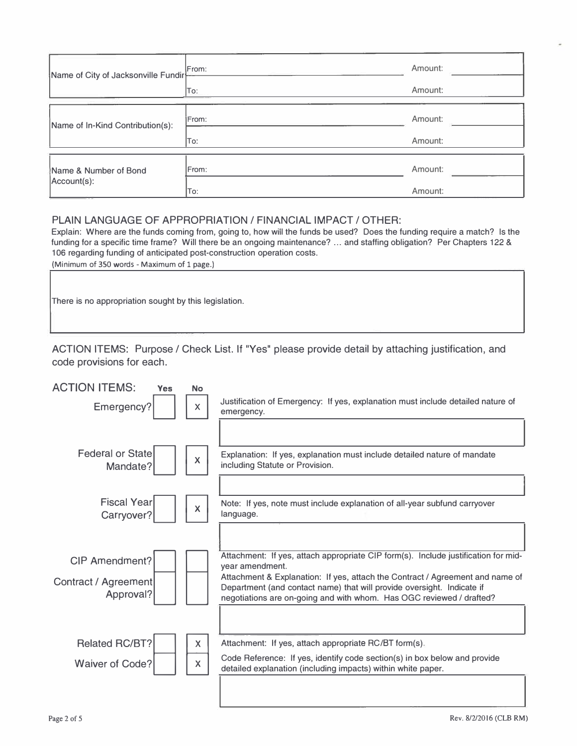| Name of City of Jacksonville Fundir | From: | Amount: |
|-------------------------------------|-------|---------|
|                                     | To:   | Amount: |
| Name of In-Kind Contribution(s):    | From: | Amount: |
|                                     | To:   | Amount: |
| Name & Number of Bond               | From: | Amount: |
| Account(s):                         | To:   | Amount: |

## PLAIN LANGUAGE OF APPROPRIATION/ FINANCIAL IMPACT/ OTHER:

Explain: Where are the funds coming from, going to, how will the funds be used? Does the funding require a match? Is the funding for a specific time frame? Will there be an ongoing maintenance? ... and staffing obligation? Per Chapters 122 & 106 regarding funding of anticipated post-construction operation costs.

(Minimum of 350 words - Maximum of 1 page.)

There is no appropriation sought by this legislation.

ACTION ITEMS: Purpose/ Check List. If "Yes" please provide detail by attaching justification, and code provisions for each.

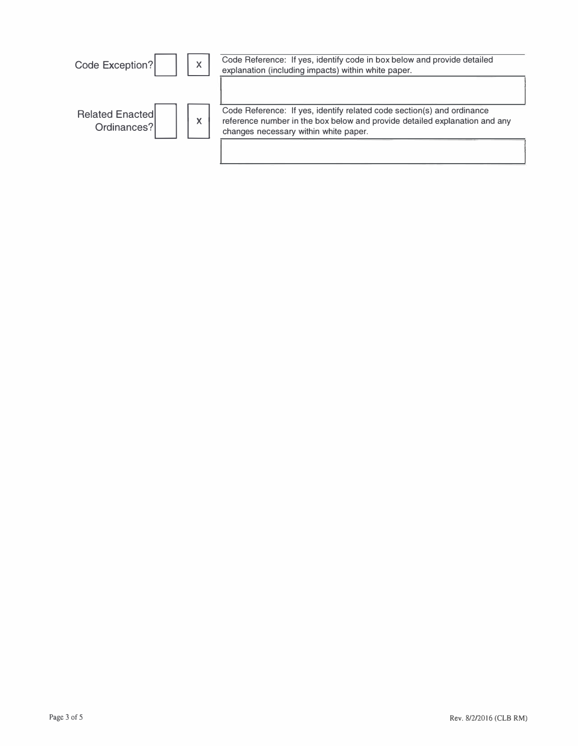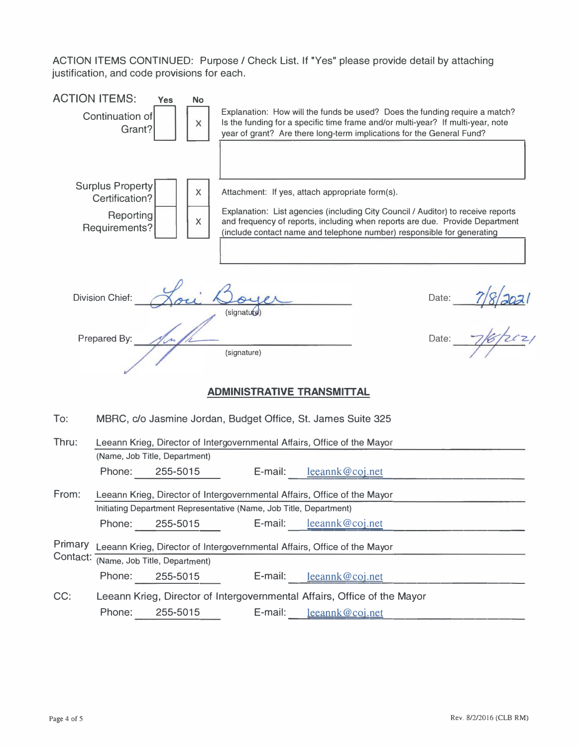ACTION ITEMS CONTINUED: Purpose / Check List. If "Yes" please provide detail by attaching justification, and code provisions for each.

|                     | justification, and code provisions for each.                            |                         | AUTION ITEMO CONTINUED. Fulpose / Oliech Eist. II Tes piease provide detail by attaching                                                                                                                                                                                                      |                                    |       |               |
|---------------------|-------------------------------------------------------------------------|-------------------------|-----------------------------------------------------------------------------------------------------------------------------------------------------------------------------------------------------------------------------------------------------------------------------------------------|------------------------------------|-------|---------------|
|                     | <b>ACTION ITEMS:</b><br><b>Yes</b><br>Continuation of<br>Grant?         | <b>No</b><br>X          | Explanation: How will the funds be used? Does the funding require a match?<br>Is the funding for a specific time frame and/or multi-year? If multi-year, note<br>year of grant? Are there long-term implications for the General Fund?                                                        |                                    |       |               |
|                     | <b>Surplus Property</b><br>Certification?<br>Reporting<br>Requirements? | $\mathsf{X}% _{0}$<br>X | Attachment: If yes, attach appropriate form(s).<br>Explanation: List agencies (including City Council / Auditor) to receive reports<br>and frequency of reports, including when reports are due. Provide Department<br>(include contact name and telephone number) responsible for generating |                                    |       |               |
|                     | <b>Division Chief:</b>                                                  |                         | (signature                                                                                                                                                                                                                                                                                    |                                    | Date: | $\frac{1}{2}$ |
|                     | Prepared By:                                                            |                         | (signature)                                                                                                                                                                                                                                                                                   |                                    | Date: |               |
|                     |                                                                         |                         | <b>ADMINISTRATIVE TRANSMITTAL</b>                                                                                                                                                                                                                                                             |                                    |       |               |
| To:                 |                                                                         |                         | MBRC, c/o Jasmine Jordan, Budget Office, St. James Suite 325                                                                                                                                                                                                                                  |                                    |       |               |
| Thru:               | (Name, Job Title, Department)<br>Phone:                                 | 255-5015                | Leeann Krieg, Director of Intergovernmental Affairs, Office of the Mayor<br>E-mail:                                                                                                                                                                                                           | leeannk@coj.net                    |       |               |
| From:               | Phone:                                                                  | 255-5015                | Leeann Krieg, Director of Intergovernmental Affairs, Office of the Mayor<br>Initiating Department Representative (Name, Job Title, Department)<br>E-mail:                                                                                                                                     | leeannk@coj.net                    |       |               |
| Primary<br>Contact: | (Name, Job Title, Department)<br>Phone:                                 | 255-5015                | Leeann Krieg, Director of Intergovernmental Affairs, Office of the Mayor<br>E-mail:                                                                                                                                                                                                           |                                    |       |               |
| CC:                 | Phone:                                                                  | 255-5015                | Leeann Krieg, Director of Intergovernmental Affairs, Office of the Mayor<br>E-mail:                                                                                                                                                                                                           | leeannk@coj.net<br>leeannk@coj.net |       |               |
|                     |                                                                         |                         |                                                                                                                                                                                                                                                                                               |                                    |       |               |